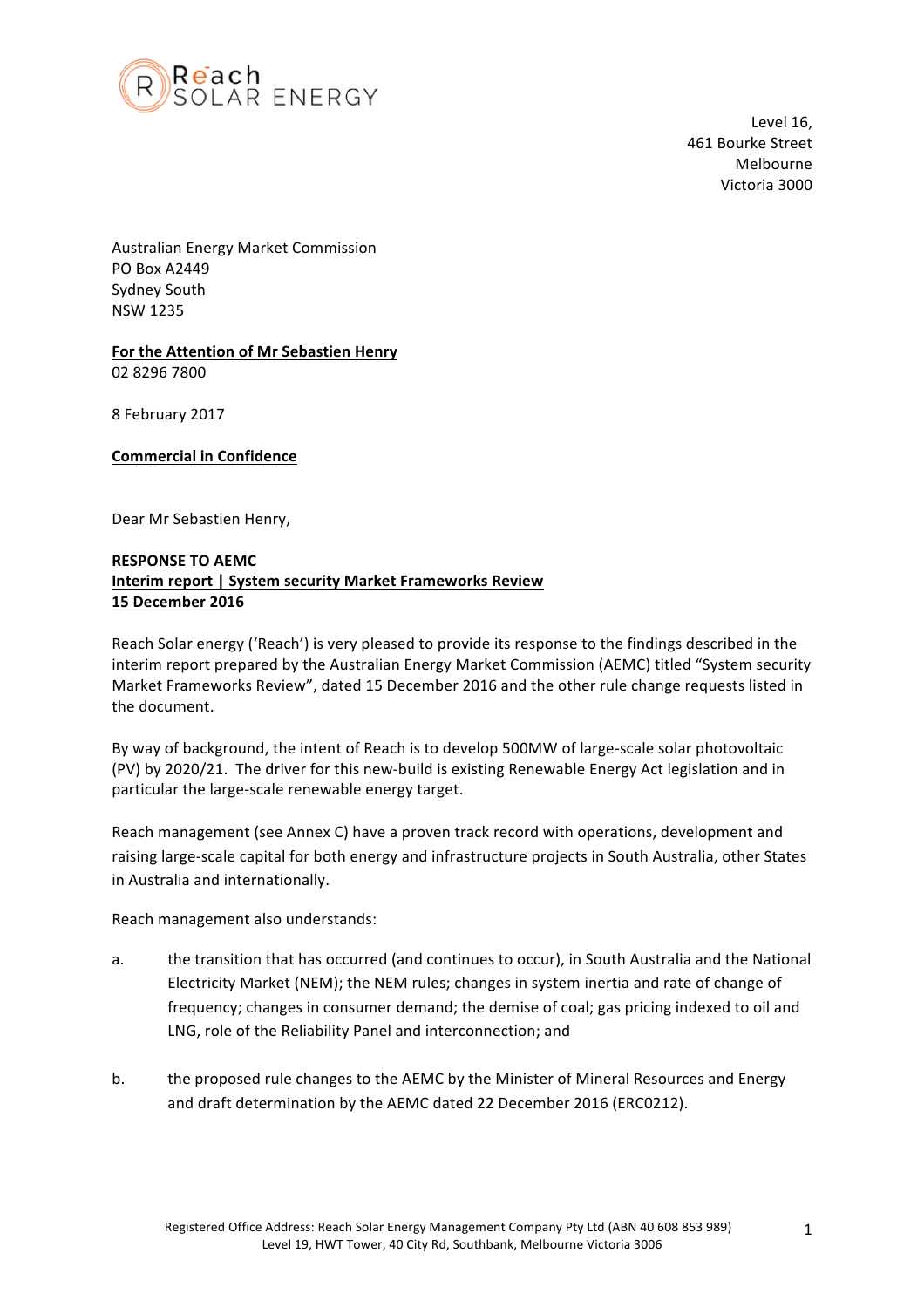

Level 16. 461 Bourke Street Melbourne Victoria 3000

Australian Energy Market Commission PO Box A2449 Sydney South NSW 1235

## For the Attention of Mr Sebastien Henry 02 8296 7800

8 February 2017 

## **Commercial in Confidence**

Dear Mr Sebastien Henry,

## **RESPONSE TO AEMC Interim report | System security Market Frameworks Review 15 December 2016**

Reach Solar energy ('Reach') is very pleased to provide its response to the findings described in the interim report prepared by the Australian Energy Market Commission (AEMC) titled "System security Market Frameworks Review", dated 15 December 2016 and the other rule change requests listed in the document.

By way of background, the intent of Reach is to develop 500MW of large-scale solar photovoltaic (PV) by 2020/21. The driver for this new-build is existing Renewable Energy Act legislation and in particular the large-scale renewable energy target.

Reach management (see Annex C) have a proven track record with operations, development and raising large-scale capital for both energy and infrastructure projects in South Australia, other States in Australia and internationally.

Reach management also understands:

- a. the transition that has occurred (and continues to occur), in South Australia and the National Electricity Market (NEM); the NEM rules; changes in system inertia and rate of change of frequency; changes in consumer demand; the demise of coal; gas pricing indexed to oil and LNG, role of the Reliability Panel and interconnection; and
- b. the proposed rule changes to the AEMC by the Minister of Mineral Resources and Energy and draft determination by the AEMC dated 22 December 2016 (ERC0212).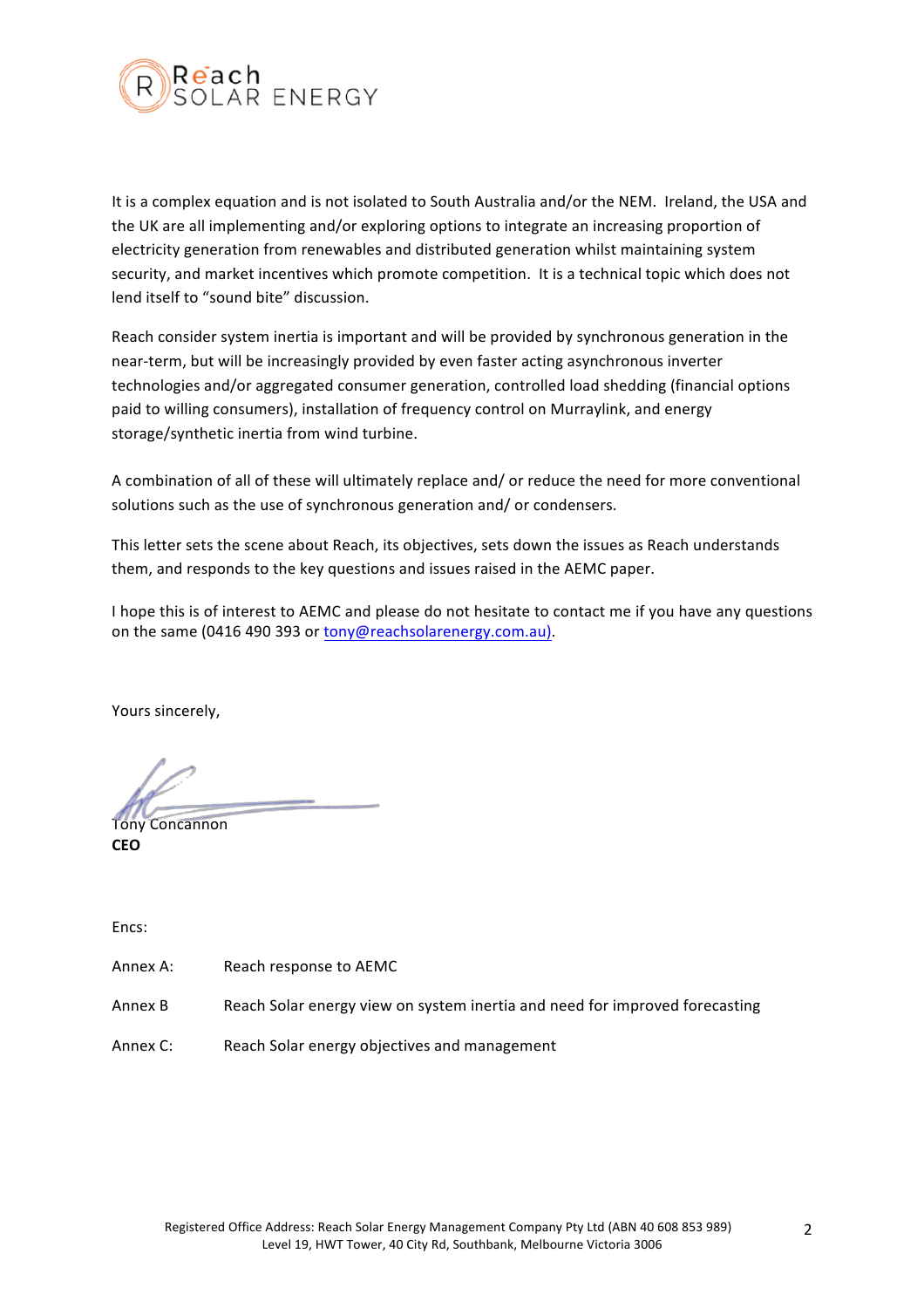

It is a complex equation and is not isolated to South Australia and/or the NEM. Ireland, the USA and the UK are all implementing and/or exploring options to integrate an increasing proportion of electricity generation from renewables and distributed generation whilst maintaining system security, and market incentives which promote competition. It is a technical topic which does not lend itself to "sound bite" discussion.

Reach consider system inertia is important and will be provided by synchronous generation in the near-term, but will be increasingly provided by even faster acting asynchronous inverter technologies and/or aggregated consumer generation, controlled load shedding (financial options paid to willing consumers), installation of frequency control on Murraylink, and energy storage/synthetic inertia from wind turbine.

A combination of all of these will ultimately replace and/ or reduce the need for more conventional solutions such as the use of synchronous generation and/ or condensers.

This letter sets the scene about Reach, its objectives, sets down the issues as Reach understands them, and responds to the key questions and issues raised in the AEMC paper.

I hope this is of interest to AEMC and please do not hesitate to contact me if you have any questions on the same (0416 490 393 or tony@reachsolarenergy.com.au).

Yours sincerely,

Tony Concannon **CEO**

Encs: 

Annex A: Reach response to AEMC

Annex B Reach Solar energy view on system inertia and need for improved forecasting

Annex C: Reach Solar energy objectives and management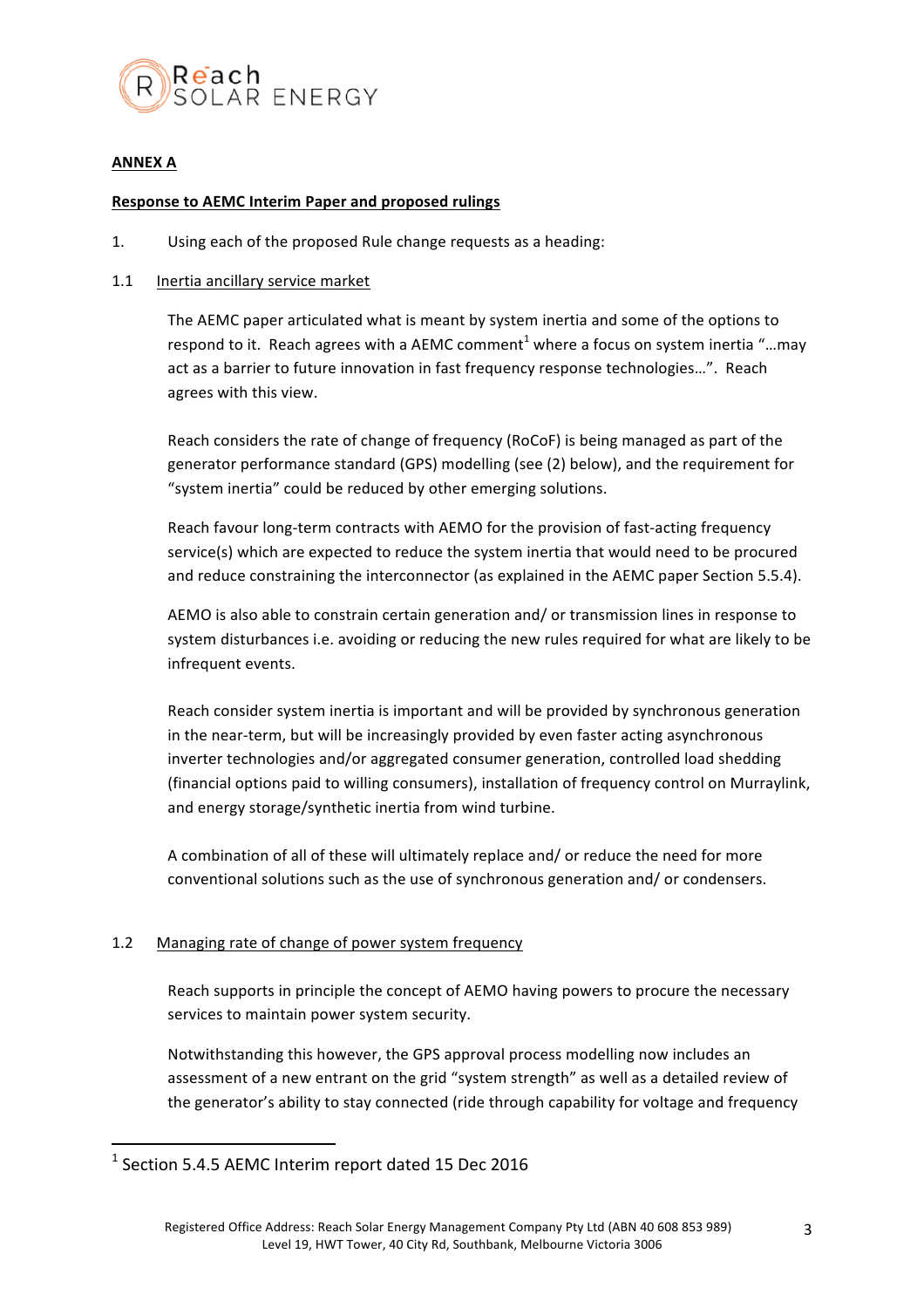

## **ANNEX A**

## **Response to AEMC Interim Paper and proposed rulings**

1. Using each of the proposed Rule change requests as a heading:

## 1.1 Inertia ancillary service market

The AEMC paper articulated what is meant by system inertia and some of the options to respond to it. Reach agrees with a AEMC comment<sup>1</sup> where a focus on system inertia "...may act as a barrier to future innovation in fast frequency response technologies...". Reach agrees with this view.

Reach considers the rate of change of frequency (RoCoF) is being managed as part of the generator performance standard (GPS) modelling (see (2) below), and the requirement for "system inertia" could be reduced by other emerging solutions.

Reach favour long-term contracts with AEMO for the provision of fast-acting frequency service(s) which are expected to reduce the system inertia that would need to be procured and reduce constraining the interconnector (as explained in the AEMC paper Section 5.5.4).

AEMO is also able to constrain certain generation and/ or transmission lines in response to system disturbances i.e. avoiding or reducing the new rules required for what are likely to be infrequent events.

Reach consider system inertia is important and will be provided by synchronous generation in the near-term, but will be increasingly provided by even faster acting asynchronous inverter technologies and/or aggregated consumer generation, controlled load shedding (financial options paid to willing consumers), installation of frequency control on Murraylink, and energy storage/synthetic inertia from wind turbine.

A combination of all of these will ultimately replace and/ or reduce the need for more conventional solutions such as the use of synchronous generation and/ or condensers.

## 1.2 Managing rate of change of power system frequency

Reach supports in principle the concept of AEMO having powers to procure the necessary services to maintain power system security.

Notwithstanding this however, the GPS approval process modelling now includes an assessment of a new entrant on the grid "system strength" as well as a detailed review of the generator's ability to stay connected (ride through capability for voltage and frequency

 $<sup>1</sup>$  Section 5.4.5 AEMC Interim report dated 15 Dec 2016</sup>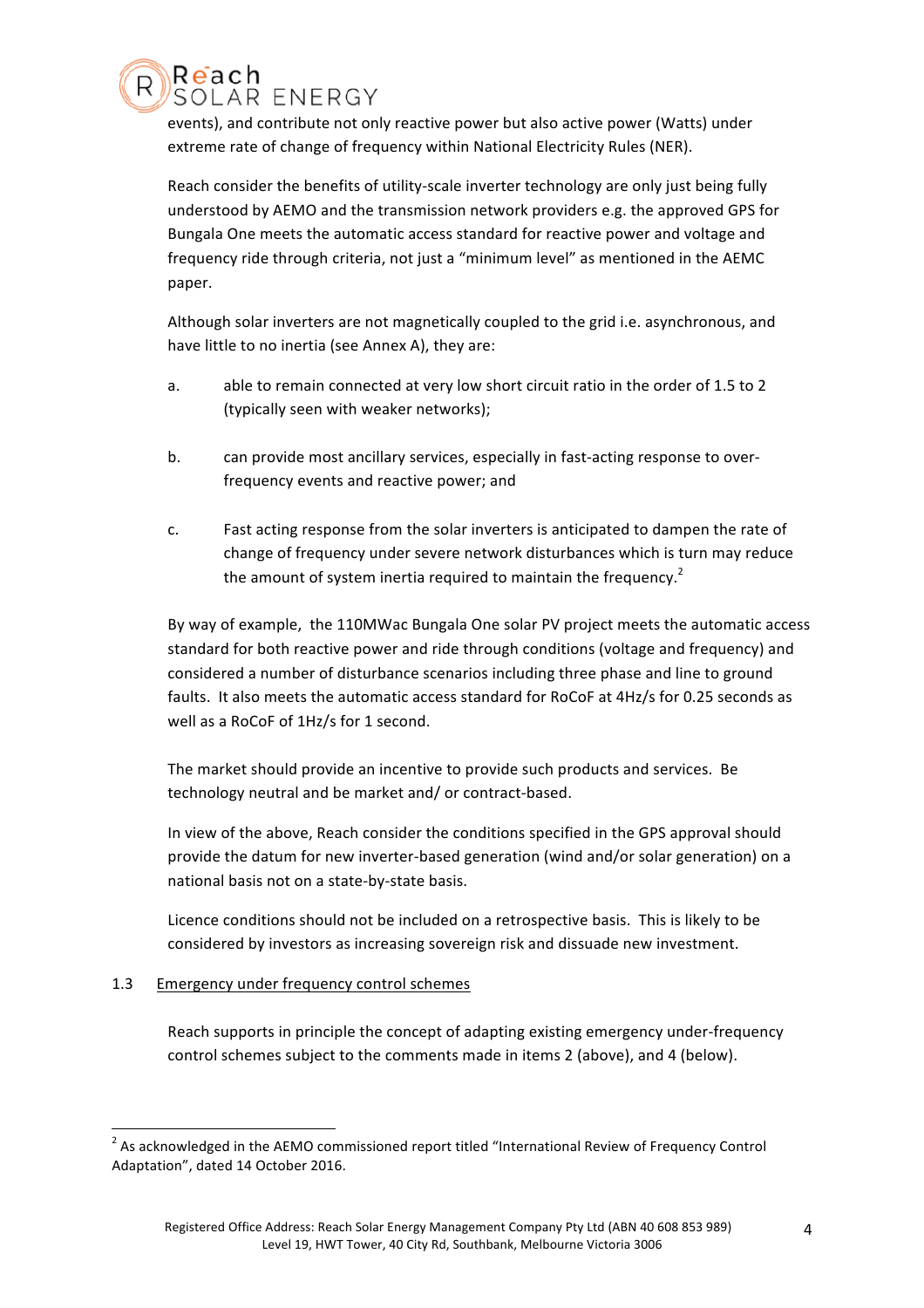events), and contribute not only reactive power but also active power (Watts) under extreme rate of change of frequency within National Electricity Rules (NER).

Reach consider the benefits of utility-scale inverter technology are only just being fully understood by AEMO and the transmission network providers e.g. the approved GPS for Bungala One meets the automatic access standard for reactive power and voltage and frequency ride through criteria, not just a "minimum level" as mentioned in the AEMC paper.

Although solar inverters are not magnetically coupled to the grid i.e. asynchronous, and have little to no inertia (see Annex A), they are:

- a. able to remain connected at very low short circuit ratio in the order of 1.5 to 2 (typically seen with weaker networks);
- b. can provide most ancillary services, especially in fast-acting response to overfrequency events and reactive power; and
- c. Fast acting response from the solar inverters is anticipated to dampen the rate of change of frequency under severe network disturbances which is turn may reduce the amount of system inertia required to maintain the frequency.<sup>2</sup>

By way of example, the 110MWac Bungala One solar PV project meets the automatic access standard for both reactive power and ride through conditions (voltage and frequency) and considered a number of disturbance scenarios including three phase and line to ground faults. It also meets the automatic access standard for RoCoF at 4Hz/s for 0.25 seconds as well as a RoCoF of 1Hz/s for 1 second.

The market should provide an incentive to provide such products and services. Be technology neutral and be market and/ or contract-based.

In view of the above, Reach consider the conditions specified in the GPS approval should provide the datum for new inverter-based generation (wind and/or solar generation) on a national basis not on a state-by-state basis.

Licence conditions should not be included on a retrospective basis. This is likely to be considered by investors as increasing sovereign risk and dissuade new investment.

## 1.3 Emergency under frequency control schemes

<u> 1989 - Jan Samuel Barbara, político establecido de la provincia de la provincia de la provincia de la provinci</u>

Reach

SOLAR ENERGY

Reach supports in principle the concept of adapting existing emergency under-frequency control schemes subject to the comments made in items 2 (above), and 4 (below).

 $2$  As acknowledged in the AEMO commissioned report titled "International Review of Frequency Control Adaptation", dated 14 October 2016.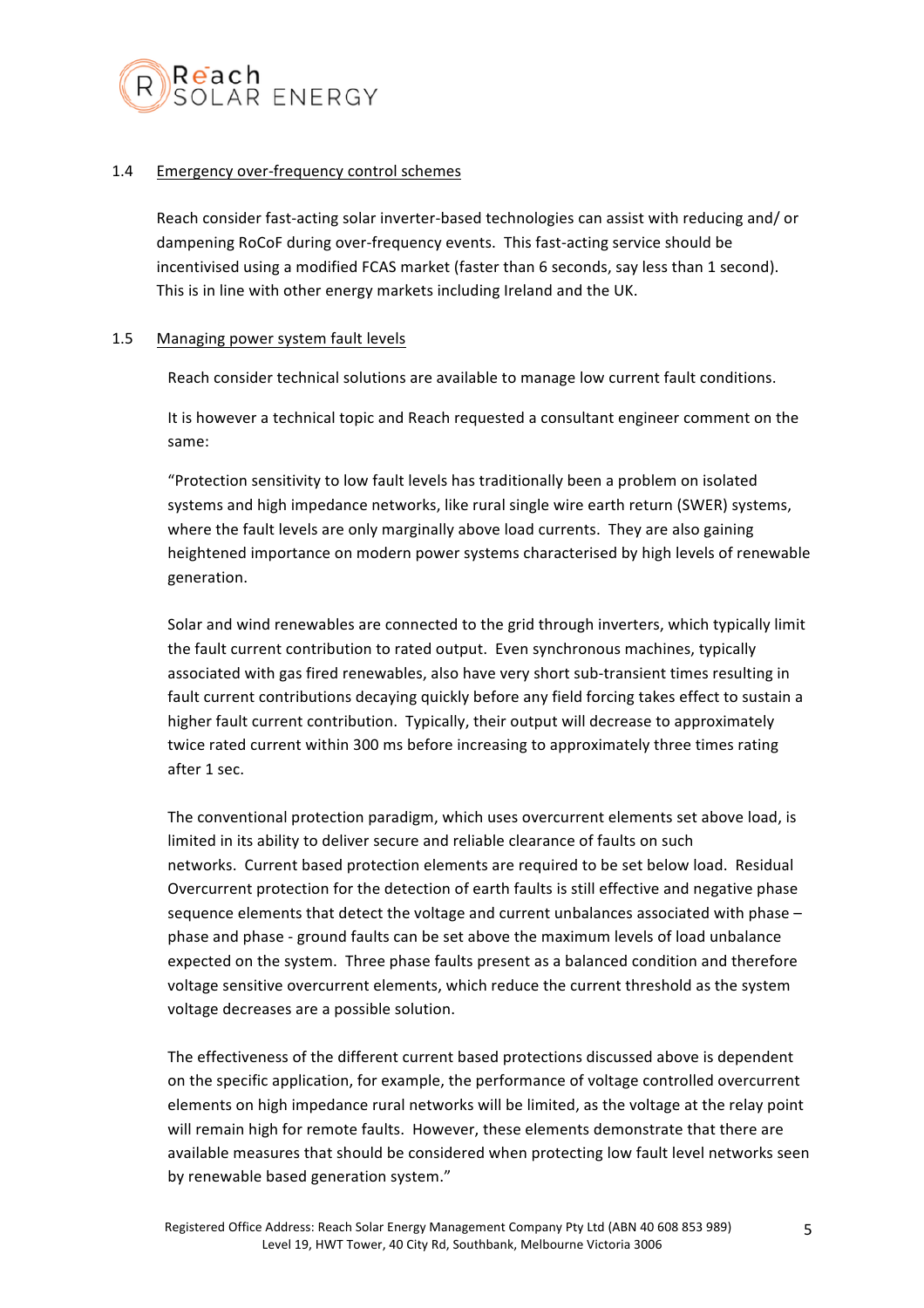

## 1.4 Emergency over-frequency control schemes

Reach consider fast-acting solar inverter-based technologies can assist with reducing and/ or dampening RoCoF during over-frequency events. This fast-acting service should be incentivised using a modified FCAS market (faster than 6 seconds, say less than 1 second). This is in line with other energy markets including Ireland and the UK.

## 1.5 Managing power system fault levels

Reach consider technical solutions are available to manage low current fault conditions.

It is however a technical topic and Reach requested a consultant engineer comment on the same:

"Protection sensitivity to low fault levels has traditionally been a problem on isolated systems and high impedance networks, like rural single wire earth return (SWER) systems, where the fault levels are only marginally above load currents. They are also gaining heightened importance on modern power systems characterised by high levels of renewable generation.

Solar and wind renewables are connected to the grid through inverters, which typically limit the fault current contribution to rated output. Even synchronous machines, typically associated with gas fired renewables, also have very short sub-transient times resulting in fault current contributions decaying quickly before any field forcing takes effect to sustain a higher fault current contribution. Typically, their output will decrease to approximately twice rated current within 300 ms before increasing to approximately three times rating after 1 sec.

The conventional protection paradigm, which uses overcurrent elements set above load, is limited in its ability to deliver secure and reliable clearance of faults on such networks. Current based protection elements are required to be set below load. Residual Overcurrent protection for the detection of earth faults is still effective and negative phase sequence elements that detect the voltage and current unbalances associated with phase  $$ phase and phase - ground faults can be set above the maximum levels of load unbalance expected on the system. Three phase faults present as a balanced condition and therefore voltage sensitive overcurrent elements, which reduce the current threshold as the system voltage decreases are a possible solution.

The effectiveness of the different current based protections discussed above is dependent on the specific application, for example, the performance of voltage controlled overcurrent elements on high impedance rural networks will be limited, as the voltage at the relay point will remain high for remote faults. However, these elements demonstrate that there are available measures that should be considered when protecting low fault level networks seen by renewable based generation system."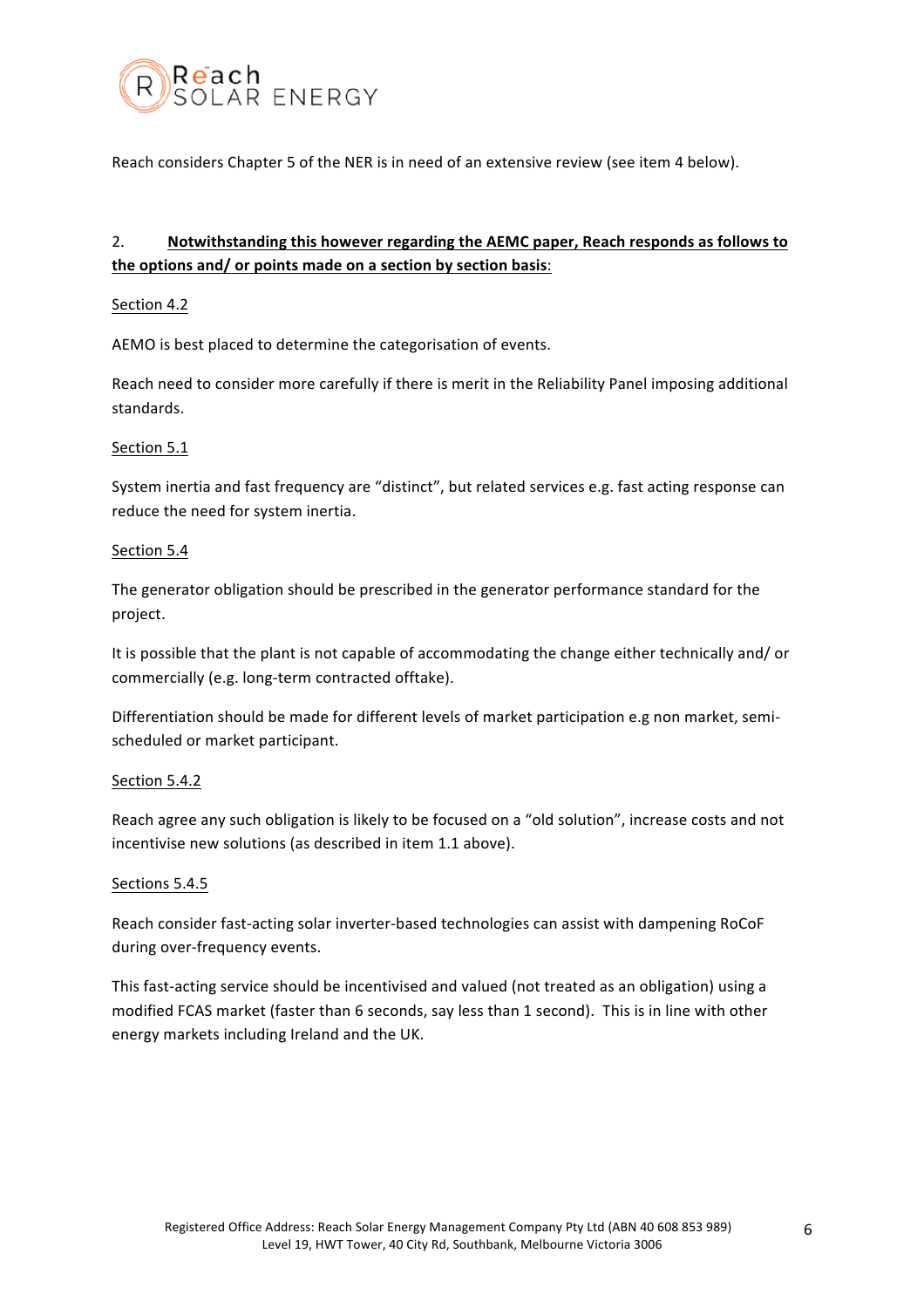

Reach considers Chapter 5 of the NER is in need of an extensive review (see item 4 below).

# 2. **Notwithstanding this however regarding the AEMC paper, Reach responds as follows to** the options and/ or points made on a section by section basis:

## Section 4.2

AEMO is best placed to determine the categorisation of events.

Reach need to consider more carefully if there is merit in the Reliability Panel imposing additional standards.

## Section 5.1

System inertia and fast frequency are "distinct", but related services e.g. fast acting response can reduce the need for system inertia.

## Section 5.4

The generator obligation should be prescribed in the generator performance standard for the project. 

It is possible that the plant is not capable of accommodating the change either technically and/ or commercially (e.g. long-term contracted offtake).

Differentiation should be made for different levels of market participation e.g non market, semischeduled or market participant.

## Section 5.4.2

Reach agree any such obligation is likely to be focused on a "old solution", increase costs and not incentivise new solutions (as described in item 1.1 above).

## Sections 5.4.5

Reach consider fast-acting solar inverter-based technologies can assist with dampening RoCoF during over-frequency events.

This fast-acting service should be incentivised and valued (not treated as an obligation) using a modified FCAS market (faster than 6 seconds, say less than 1 second). This is in line with other energy markets including Ireland and the UK.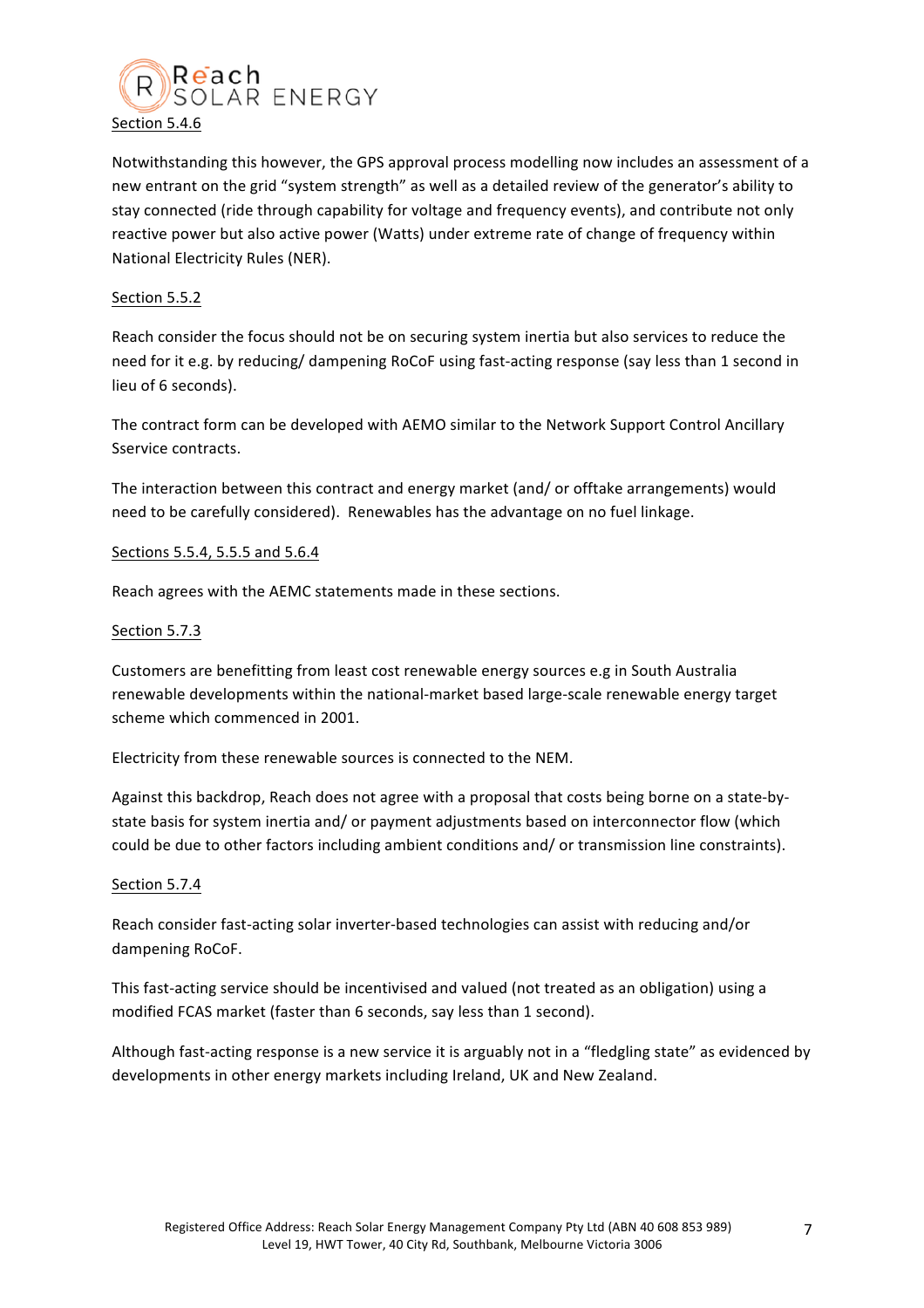

Notwithstanding this however, the GPS approval process modelling now includes an assessment of a new entrant on the grid "system strength" as well as a detailed review of the generator's ability to stay connected (ride through capability for voltage and frequency events), and contribute not only reactive power but also active power (Watts) under extreme rate of change of frequency within National Electricity Rules (NER).

## Section 5.5.2

Reach consider the focus should not be on securing system inertia but also services to reduce the need for it e.g. by reducing/ dampening RoCoF using fast-acting response (say less than 1 second in lieu of 6 seconds).

The contract form can be developed with AEMO similar to the Network Support Control Ancillary Sservice contracts.

The interaction between this contract and energy market (and/ or offtake arrangements) would need to be carefully considered). Renewables has the advantage on no fuel linkage.

## Sections 5.5.4, 5.5.5 and 5.6.4

Reach agrees with the AEMC statements made in these sections.

## Section 5.7.3

Customers are benefitting from least cost renewable energy sources e.g in South Australia renewable developments within the national-market based large-scale renewable energy target scheme which commenced in 2001.

Electricity from these renewable sources is connected to the NEM.

Against this backdrop, Reach does not agree with a proposal that costs being borne on a state-bystate basis for system inertia and/ or payment adjustments based on interconnector flow (which could be due to other factors including ambient conditions and/ or transmission line constraints).

## Section 5.7.4

Reach consider fast-acting solar inverter-based technologies can assist with reducing and/or dampening RoCoF.

This fast-acting service should be incentivised and valued (not treated as an obligation) using a modified FCAS market (faster than 6 seconds, say less than 1 second).

Although fast-acting response is a new service it is arguably not in a "fledgling state" as evidenced by developments in other energy markets including Ireland, UK and New Zealand.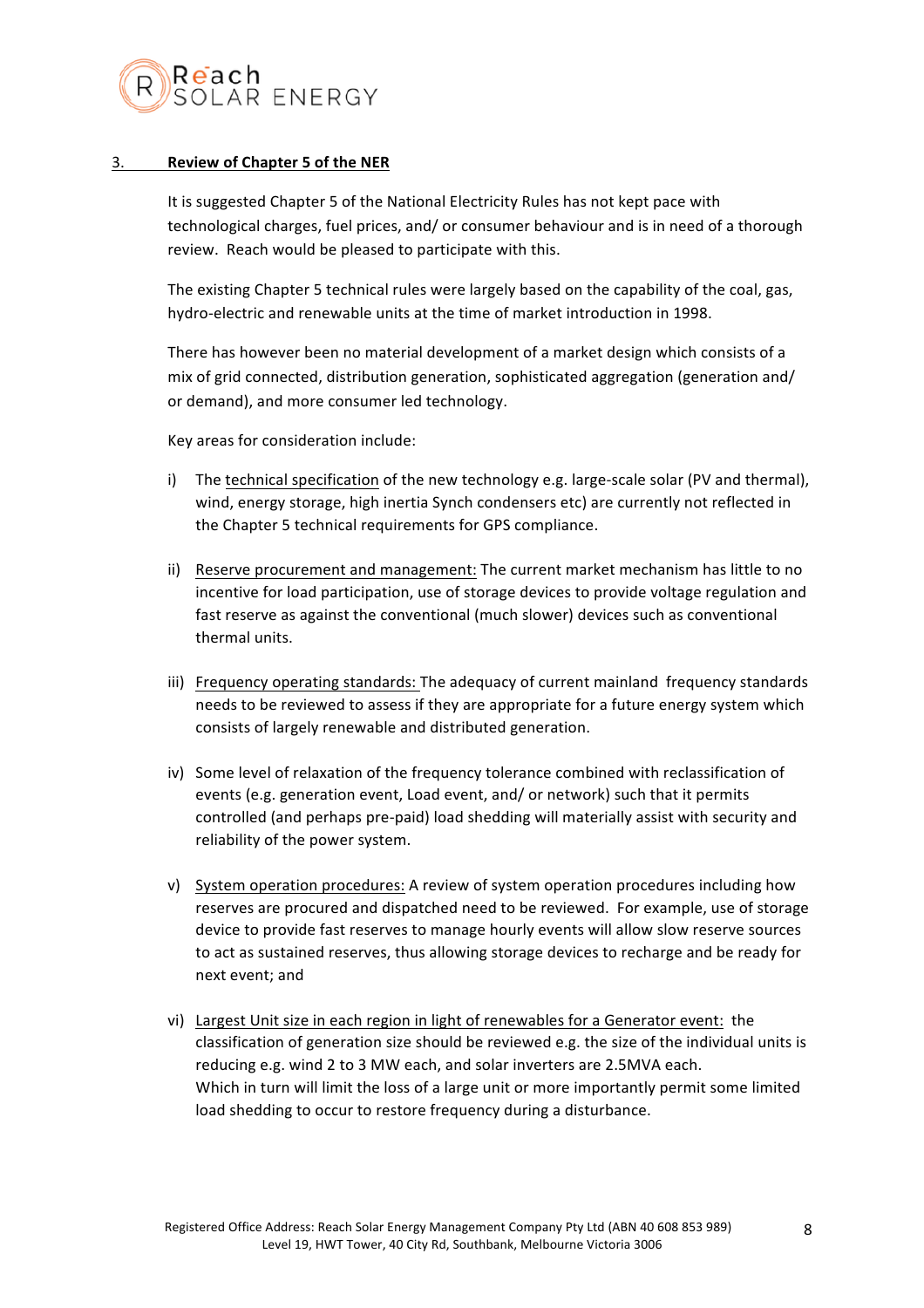

## 3. **Review of Chapter 5 of the NER**

It is suggested Chapter 5 of the National Electricity Rules has not kept pace with technological charges, fuel prices, and/ or consumer behaviour and is in need of a thorough review. Reach would be pleased to participate with this.

The existing Chapter 5 technical rules were largely based on the capability of the coal, gas, hydro-electric and renewable units at the time of market introduction in 1998.

There has however been no material development of a market design which consists of a mix of grid connected, distribution generation, sophisticated aggregation (generation and/ or demand), and more consumer led technology.

Key areas for consideration include:

- i) The technical specification of the new technology e.g. large-scale solar (PV and thermal), wind, energy storage, high inertia Synch condensers etc) are currently not reflected in the Chapter 5 technical requirements for GPS compliance.
- ii) Reserve procurement and management: The current market mechanism has little to no incentive for load participation, use of storage devices to provide voltage regulation and fast reserve as against the conventional (much slower) devices such as conventional thermal units.
- iii) Frequency operating standards: The adequacy of current mainland frequency standards needs to be reviewed to assess if they are appropriate for a future energy system which consists of largely renewable and distributed generation.
- iv) Some level of relaxation of the frequency tolerance combined with reclassification of events (e.g. generation event, Load event, and/ or network) such that it permits controlled (and perhaps pre-paid) load shedding will materially assist with security and reliability of the power system.
- v) System operation procedures: A review of system operation procedures including how reserves are procured and dispatched need to be reviewed. For example, use of storage device to provide fast reserves to manage hourly events will allow slow reserve sources to act as sustained reserves, thus allowing storage devices to recharge and be ready for next event; and
- vi) Largest Unit size in each region in light of renewables for a Generator event: the classification of generation size should be reviewed e.g. the size of the individual units is reducing e.g. wind 2 to 3 MW each, and solar inverters are 2.5MVA each. Which in turn will limit the loss of a large unit or more importantly permit some limited load shedding to occur to restore frequency during a disturbance.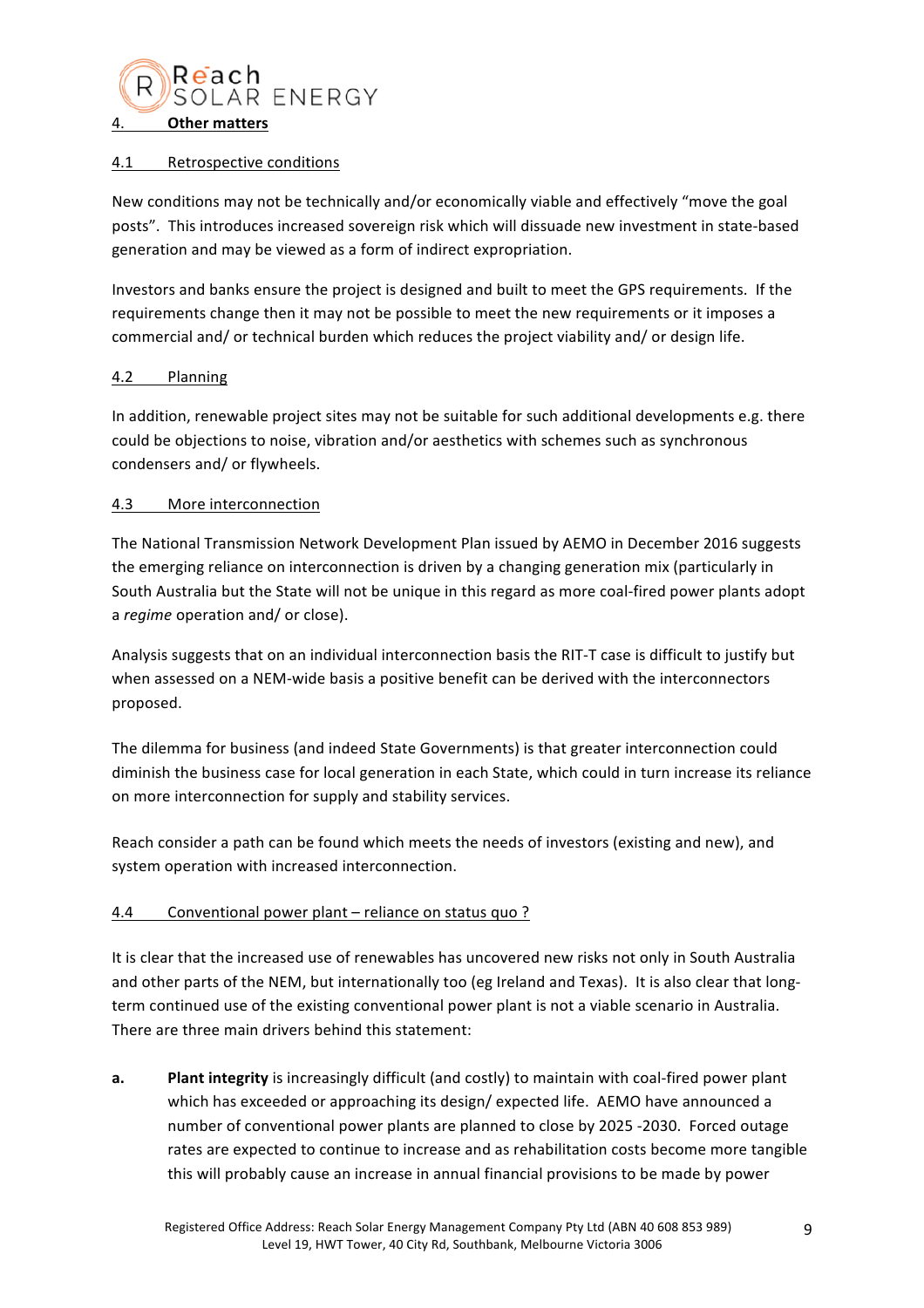

## 4.1 Retrospective conditions

New conditions may not be technically and/or economically viable and effectively "move the goal posts". This introduces increased sovereign risk which will dissuade new investment in state-based generation and may be viewed as a form of indirect expropriation.

Investors and banks ensure the project is designed and built to meet the GPS requirements. If the requirements change then it may not be possible to meet the new requirements or it imposes a commercial and/ or technical burden which reduces the project viability and/ or design life.

## 4.2 Planning

In addition, renewable project sites may not be suitable for such additional developments  $e.g.$  there could be objections to noise, vibration and/or aesthetics with schemes such as synchronous condensers and/ or flywheels.

## 4.3 More interconnection

The National Transmission Network Development Plan issued by AEMO in December 2016 suggests the emerging reliance on interconnection is driven by a changing generation mix (particularly in South Australia but the State will not be unique in this regard as more coal-fired power plants adopt a *regime* operation and/ or close).

Analysis suggests that on an individual interconnection basis the RIT-T case is difficult to justify but when assessed on a NEM-wide basis a positive benefit can be derived with the interconnectors proposed. 

The dilemma for business (and indeed State Governments) is that greater interconnection could diminish the business case for local generation in each State, which could in turn increase its reliance on more interconnection for supply and stability services.

Reach consider a path can be found which meets the needs of investors (existing and new), and system operation with increased interconnection.

## 4.4 Conventional power plant – reliance on status quo?

It is clear that the increased use of renewables has uncovered new risks not only in South Australia and other parts of the NEM, but internationally too (eg Ireland and Texas). It is also clear that longterm continued use of the existing conventional power plant is not a viable scenario in Australia. There are three main drivers behind this statement:

**a. Plant integrity** is increasingly difficult (and costly) to maintain with coal-fired power plant which has exceeded or approaching its design/ expected life. AEMO have announced a number of conventional power plants are planned to close by 2025 -2030. Forced outage rates are expected to continue to increase and as rehabilitation costs become more tangible this will probably cause an increase in annual financial provisions to be made by power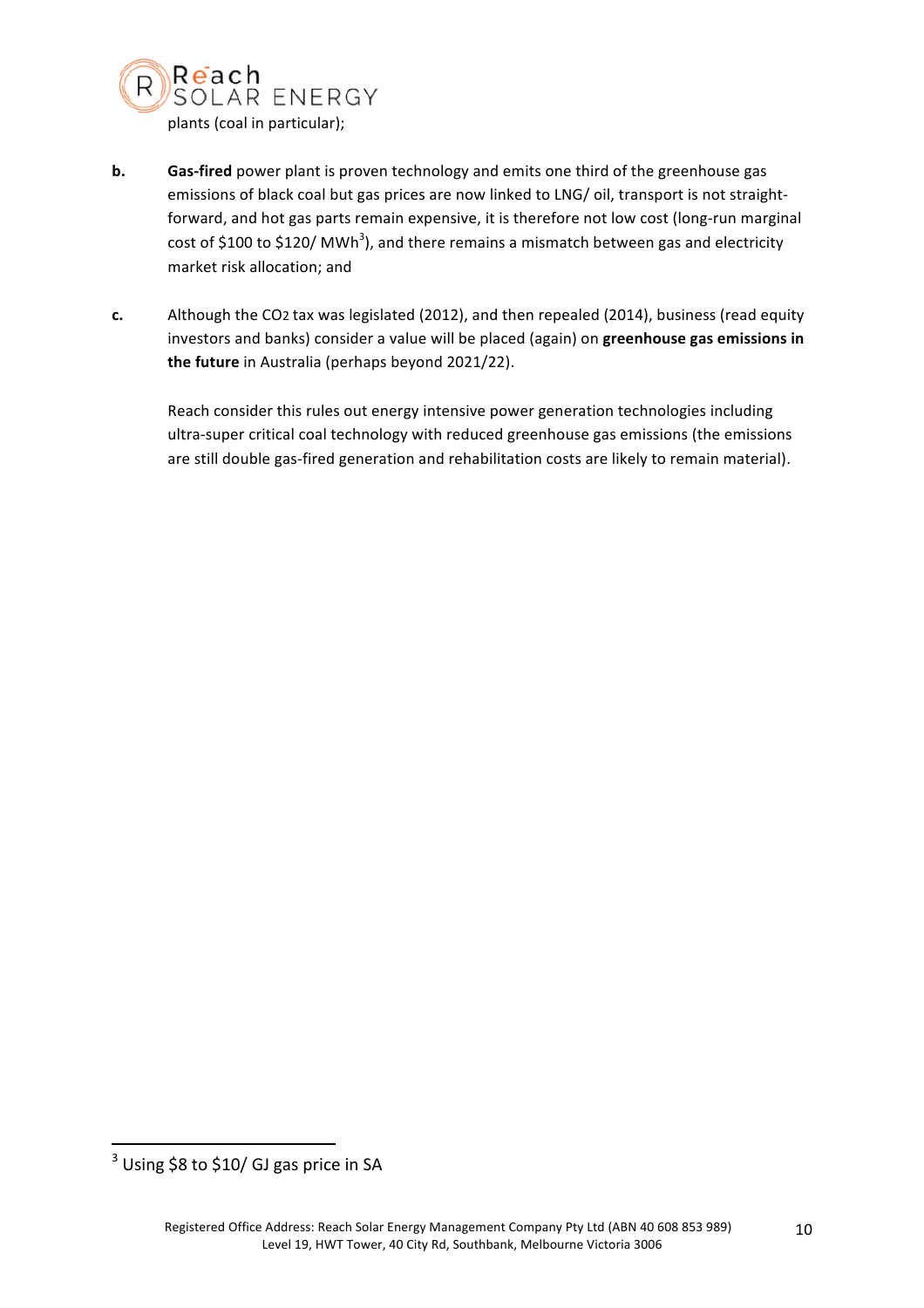

- **b. Gas-fired** power plant is proven technology and emits one third of the greenhouse gas emissions of black coal but gas prices are now linked to LNG/ oil, transport is not straightforward, and hot gas parts remain expensive, it is therefore not low cost (long-run marginal cost of \$100 to \$120/ MWh<sup>3</sup>), and there remains a mismatch between gas and electricity market risk allocation; and
- **c.** Although the CO2 tax was legislated (2012), and then repealed (2014), business (read equity investors and banks) consider a value will be placed (again) on **greenhouse gas emissions in** the future in Australia (perhaps beyond 2021/22).

Reach consider this rules out energy intensive power generation technologies including ultra-super critical coal technology with reduced greenhouse gas emissions (the emissions are still double gas-fired generation and rehabilitation costs are likely to remain material).

 $^3$  Using \$8 to \$10/ GJ gas price in SA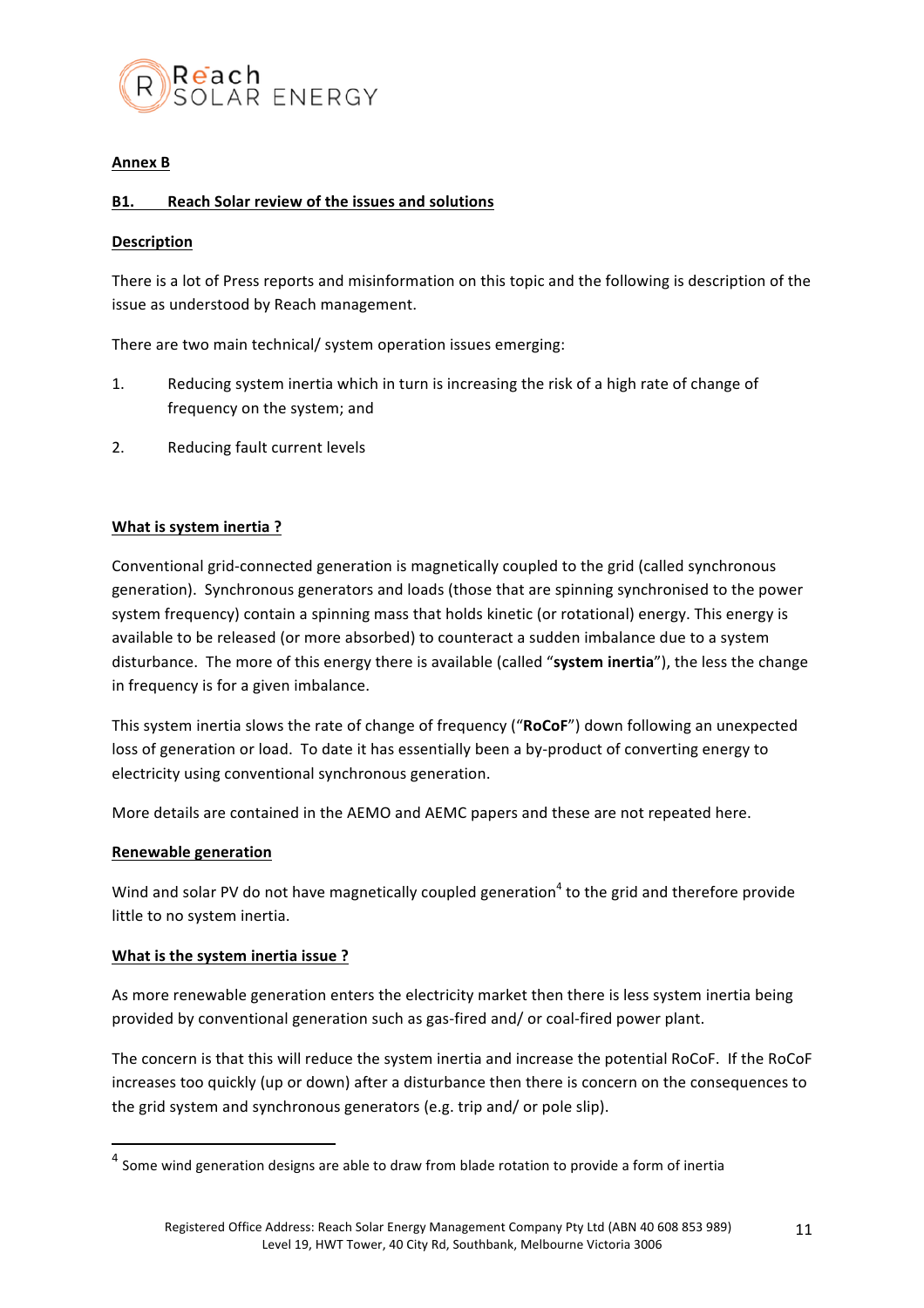

## **Annex B**

## **B1.** Reach Solar review of the issues and solutions

## **Description**

There is a lot of Press reports and misinformation on this topic and the following is description of the issue as understood by Reach management.

There are two main technical/ system operation issues emerging:

- 1. Reducing system inertia which in turn is increasing the risk of a high rate of change of frequency on the system; and
- 2. Reducing fault current levels

## **What is system inertia?**

Conventional grid-connected generation is magnetically coupled to the grid (called synchronous generation). Synchronous generators and loads (those that are spinning synchronised to the power system frequency) contain a spinning mass that holds kinetic (or rotational) energy. This energy is available to be released (or more absorbed) to counteract a sudden imbalance due to a system disturbance. The more of this energy there is available (called "system inertia"), the less the change in frequency is for a given imbalance.

This system inertia slows the rate of change of frequency ("RoCoF") down following an unexpected loss of generation or load. To date it has essentially been a by-product of converting energy to electricity using conventional synchronous generation.

More details are contained in the AEMO and AEMC papers and these are not repeated here.

#### **Renewable generation**

Wind and solar PV do not have magnetically coupled generation<sup>4</sup> to the grid and therefore provide little to no system inertia.

## **What is the system inertia issue ?**

 

As more renewable generation enters the electricity market then there is less system inertia being provided by conventional generation such as gas-fired and/ or coal-fired power plant.

The concern is that this will reduce the system inertia and increase the potential RoCoF. If the RoCoF increases too quickly (up or down) after a disturbance then there is concern on the consequences to the grid system and synchronous generators (e.g. trip and/ or pole slip).

 $4$  Some wind generation designs are able to draw from blade rotation to provide a form of inertia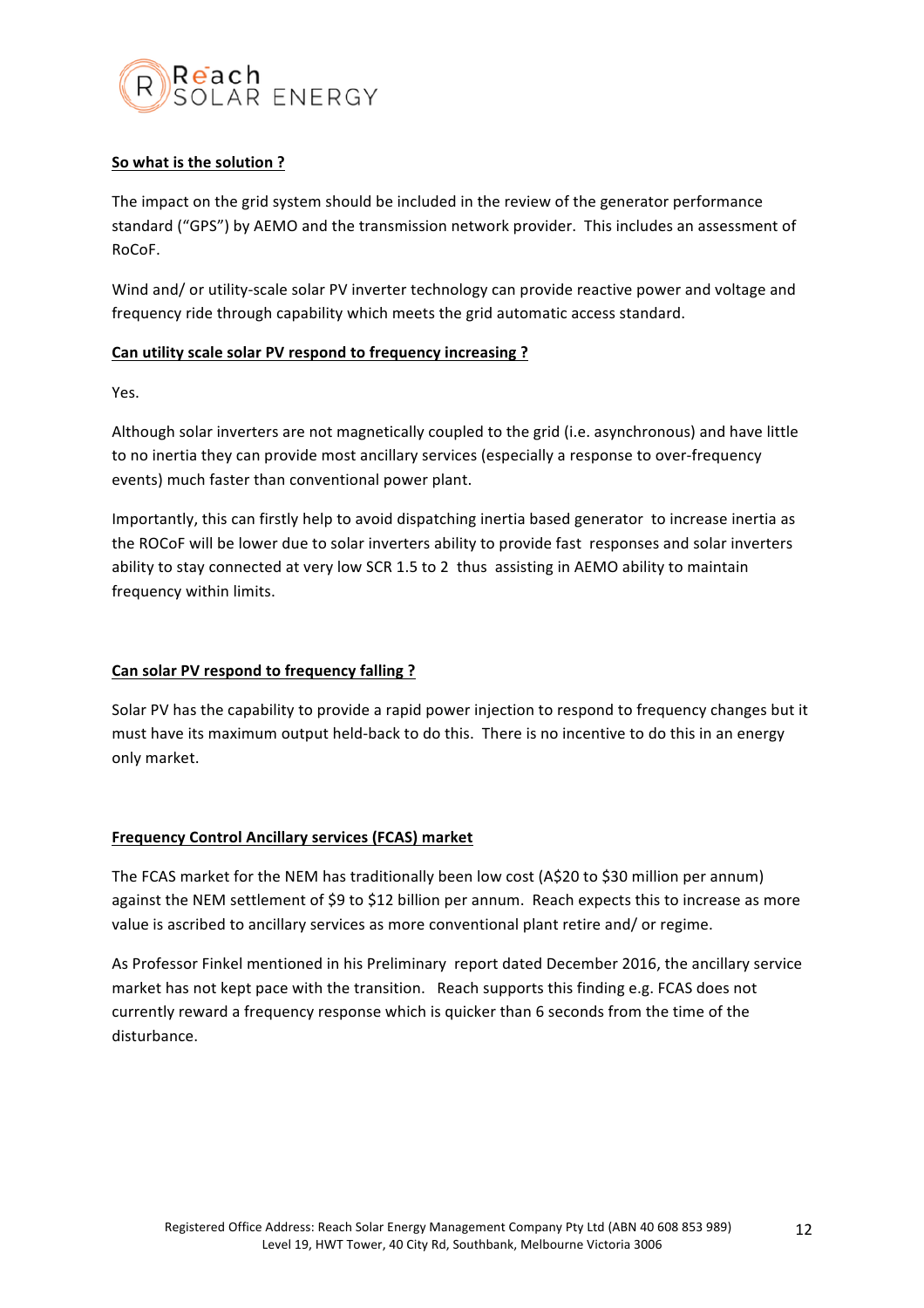

## **So what is the solution ?**

The impact on the grid system should be included in the review of the generator performance standard ("GPS") by AEMO and the transmission network provider. This includes an assessment of RoCoF.

Wind and/ or utility-scale solar PV inverter technology can provide reactive power and voltage and frequency ride through capability which meets the grid automatic access standard.

## **Can utility scale solar PV respond to frequency increasing ?**

Yes.

Although solar inverters are not magnetically coupled to the grid (i.e. asynchronous) and have little to no inertia they can provide most ancillary services (especially a response to over-frequency events) much faster than conventional power plant.

Importantly, this can firstly help to avoid dispatching inertia based generator to increase inertia as the ROCoF will be lower due to solar inverters ability to provide fast responses and solar inverters ability to stay connected at very low SCR 1.5 to 2 thus assisting in AEMO ability to maintain frequency within limits.

## Can solar PV respond to frequency falling?

Solar PV has the capability to provide a rapid power injection to respond to frequency changes but it must have its maximum output held-back to do this. There is no incentive to do this in an energy only market.

## **Frequency Control Ancillary services (FCAS) market**

The FCAS market for the NEM has traditionally been low cost (A\$20 to \$30 million per annum) against the NEM settlement of \$9 to \$12 billion per annum. Reach expects this to increase as more value is ascribed to ancillary services as more conventional plant retire and/ or regime.

As Professor Finkel mentioned in his Preliminary report dated December 2016, the ancillary service market has not kept pace with the transition. Reach supports this finding e.g. FCAS does not currently reward a frequency response which is quicker than 6 seconds from the time of the disturbance.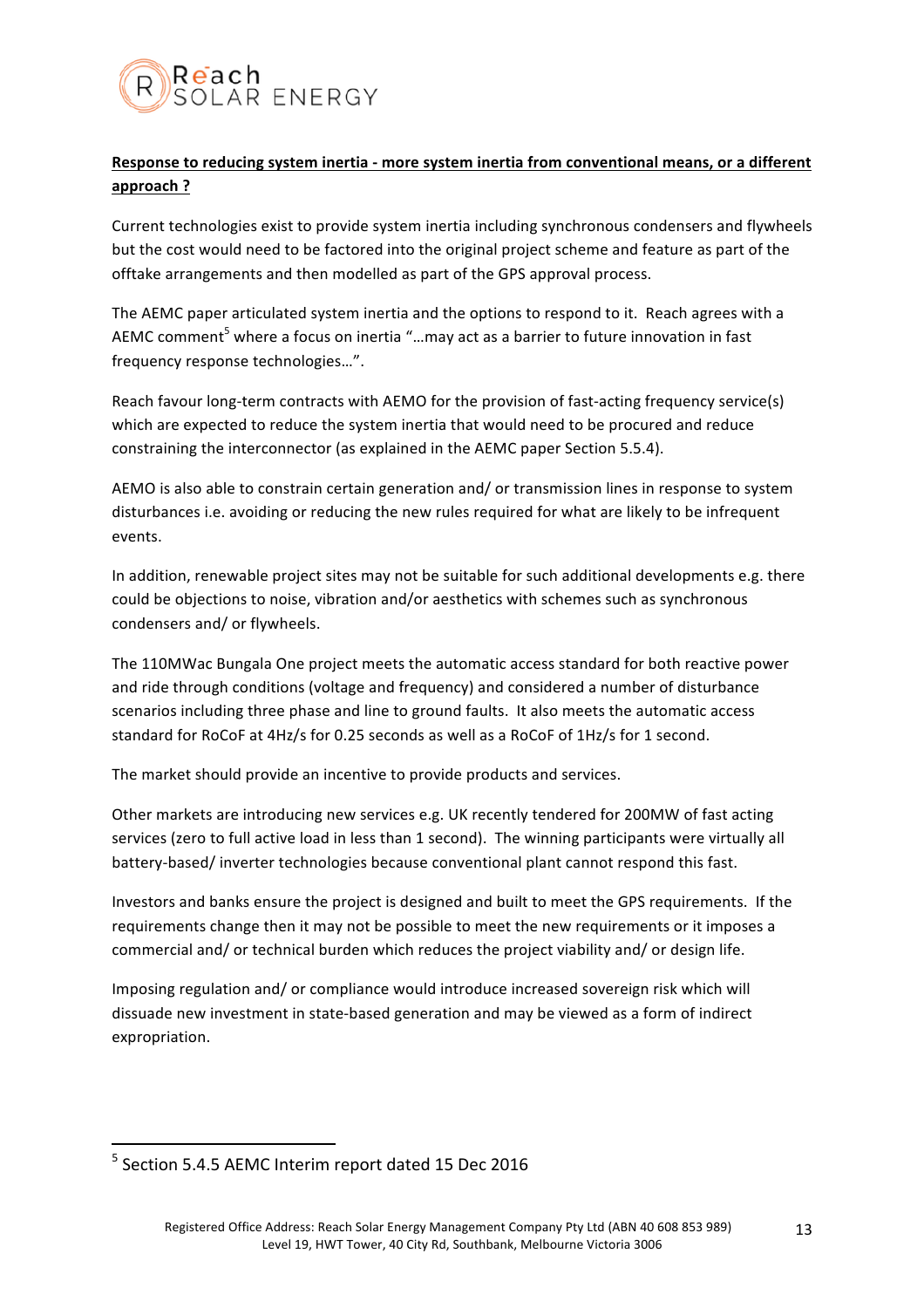

# **Response to reducing system inertia - more system inertia from conventional means, or a different approach ?**

Current technologies exist to provide system inertia including synchronous condensers and flywheels but the cost would need to be factored into the original project scheme and feature as part of the offtake arrangements and then modelled as part of the GPS approval process.

The AEMC paper articulated system inertia and the options to respond to it. Reach agrees with a AEMC comment<sup>5</sup> where a focus on inertia "...may act as a barrier to future innovation in fast frequency response technologies...".

Reach favour long-term contracts with AEMO for the provision of fast-acting frequency service(s) which are expected to reduce the system inertia that would need to be procured and reduce constraining the interconnector (as explained in the AEMC paper Section 5.5.4).

AEMO is also able to constrain certain generation and/ or transmission lines in response to system disturbances i.e. avoiding or reducing the new rules required for what are likely to be infrequent events. 

In addition, renewable project sites may not be suitable for such additional developments e.g. there could be objections to noise, vibration and/or aesthetics with schemes such as synchronous condensers and/ or flywheels.

The 110MWac Bungala One project meets the automatic access standard for both reactive power and ride through conditions (voltage and frequency) and considered a number of disturbance scenarios including three phase and line to ground faults. It also meets the automatic access standard for RoCoF at 4Hz/s for 0.25 seconds as well as a RoCoF of 1Hz/s for 1 second.

The market should provide an incentive to provide products and services.

Other markets are introducing new services e.g. UK recently tendered for 200MW of fast acting services (zero to full active load in less than 1 second). The winning participants were virtually all battery-based/ inverter technologies because conventional plant cannot respond this fast.

Investors and banks ensure the project is designed and built to meet the GPS requirements. If the requirements change then it may not be possible to meet the new requirements or it imposes a commercial and/ or technical burden which reduces the project viability and/ or design life.

Imposing regulation and/ or compliance would introduce increased sovereign risk which will dissuade new investment in state-based generation and may be viewed as a form of indirect expropriation.

 $<sup>5</sup>$  Section 5.4.5 AEMC Interim report dated 15 Dec 2016</sup>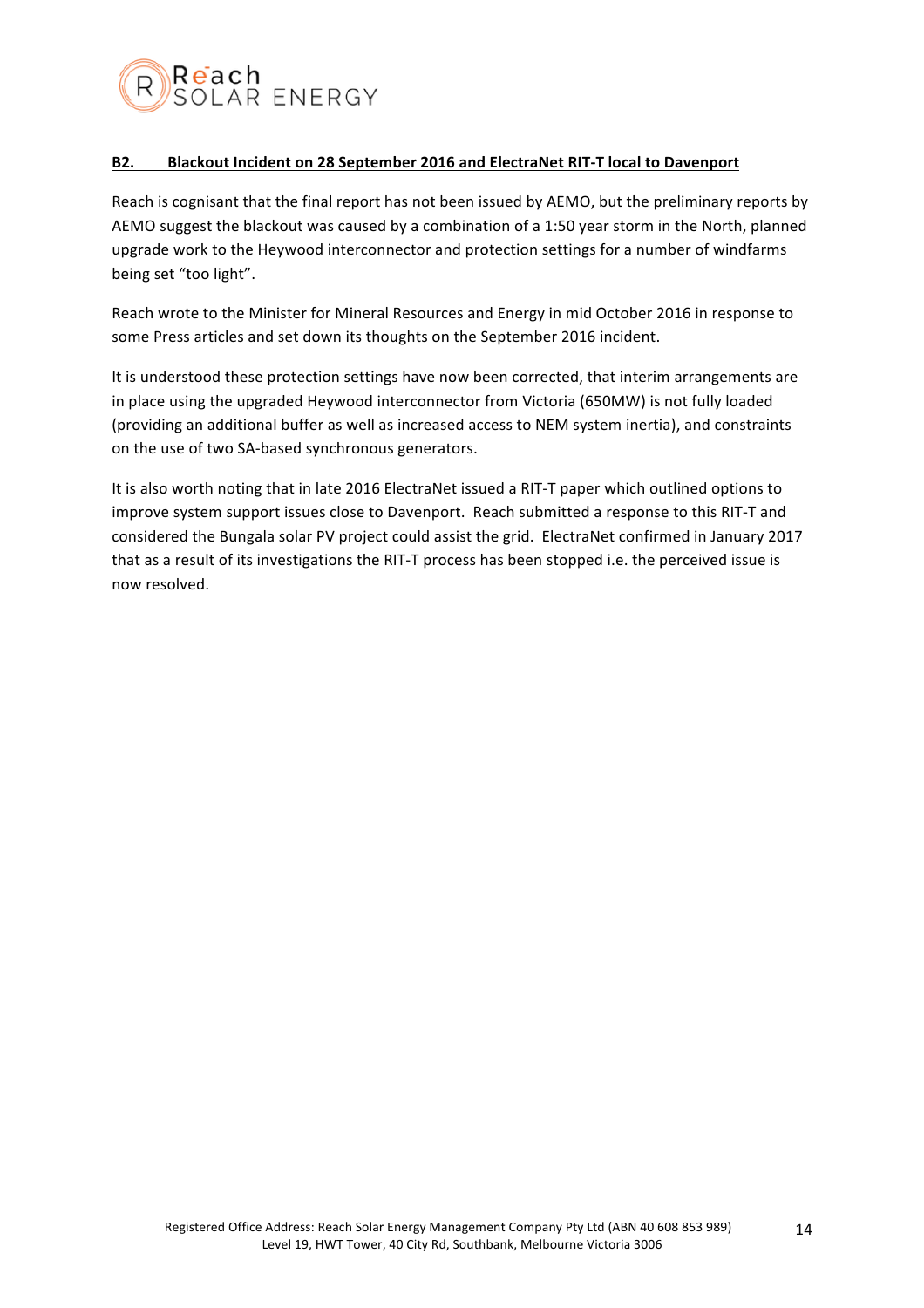

## **B2.** Blackout Incident on 28 September 2016 and ElectraNet RIT-T local to Davenport

Reach is cognisant that the final report has not been issued by AEMO, but the preliminary reports by AEMO suggest the blackout was caused by a combination of a 1:50 year storm in the North, planned upgrade work to the Heywood interconnector and protection settings for a number of windfarms being set "too light".

Reach wrote to the Minister for Mineral Resources and Energy in mid October 2016 in response to some Press articles and set down its thoughts on the September 2016 incident.

It is understood these protection settings have now been corrected, that interim arrangements are in place using the upgraded Heywood interconnector from Victoria (650MW) is not fully loaded (providing an additional buffer as well as increased access to NEM system inertia), and constraints on the use of two SA-based synchronous generators.

It is also worth noting that in late 2016 ElectraNet issued a RIT-T paper which outlined options to improve system support issues close to Davenport. Reach submitted a response to this RIT-T and considered the Bungala solar PV project could assist the grid. ElectraNet confirmed in January 2017 that as a result of its investigations the RIT-T process has been stopped i.e. the perceived issue is now resolved.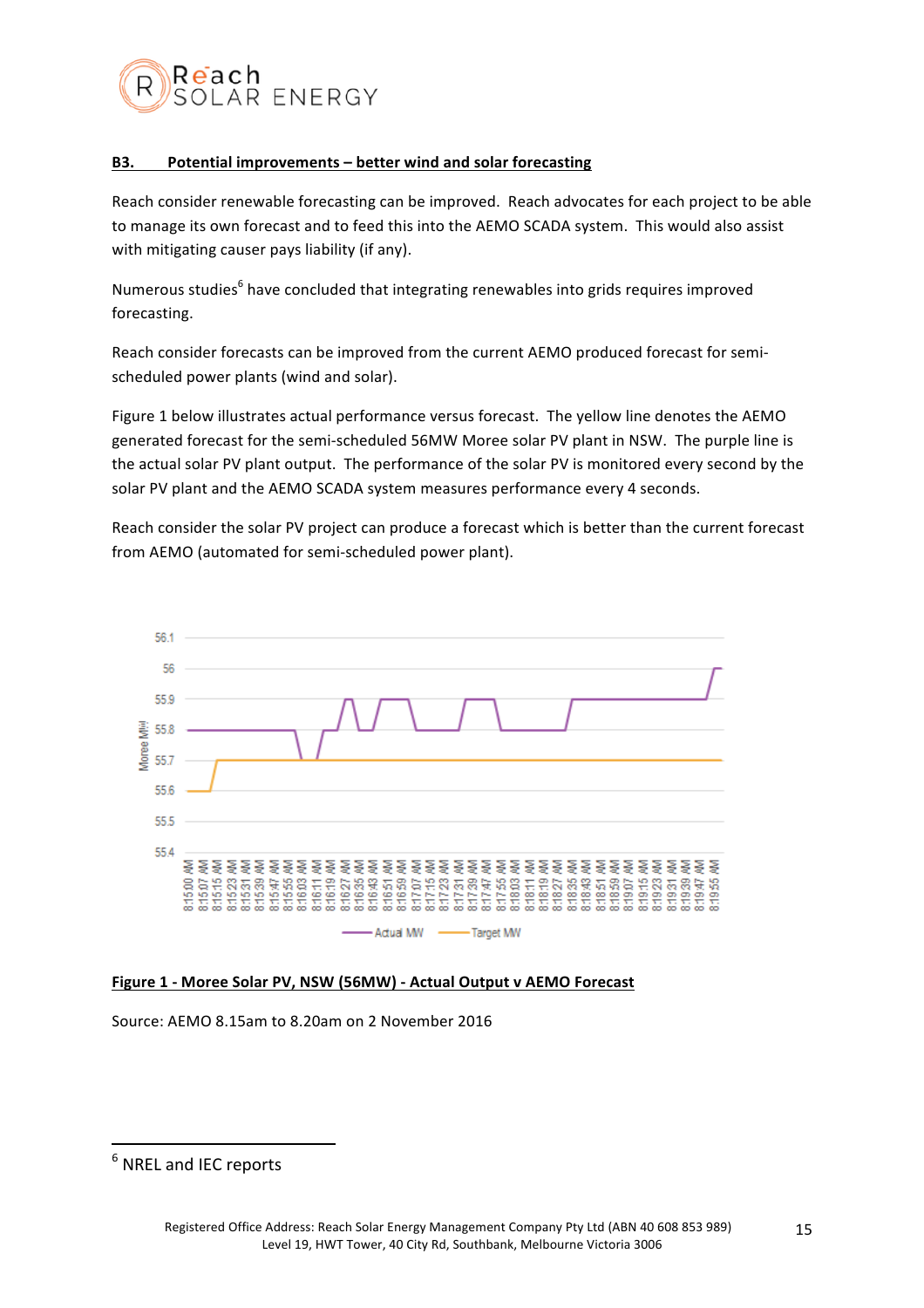

## **B3.** Potential improvements – better wind and solar forecasting

Reach consider renewable forecasting can be improved. Reach advocates for each project to be able to manage its own forecast and to feed this into the AEMO SCADA system. This would also assist with mitigating causer pays liability (if any).

Numerous studies<sup>6</sup> have concluded that integrating renewables into grids requires improved forecasting.

Reach consider forecasts can be improved from the current AEMO produced forecast for semischeduled power plants (wind and solar).

Figure 1 below illustrates actual performance versus forecast. The yellow line denotes the AEMO generated forecast for the semi-scheduled 56MW Moree solar PV plant in NSW. The purple line is the actual solar PV plant output. The performance of the solar PV is monitored every second by the solar PV plant and the AEMO SCADA system measures performance every 4 seconds.

Reach consider the solar PV project can produce a forecast which is better than the current forecast from AEMO (automated for semi-scheduled power plant).



## **Figure 1 - Moree Solar PV, NSW (56MW) - Actual Output v AEMO Forecast**

Source: AEMO 8.15am to 8.20am on 2 November 2016

 $<sup>6</sup>$  NREL and IEC reports</sup>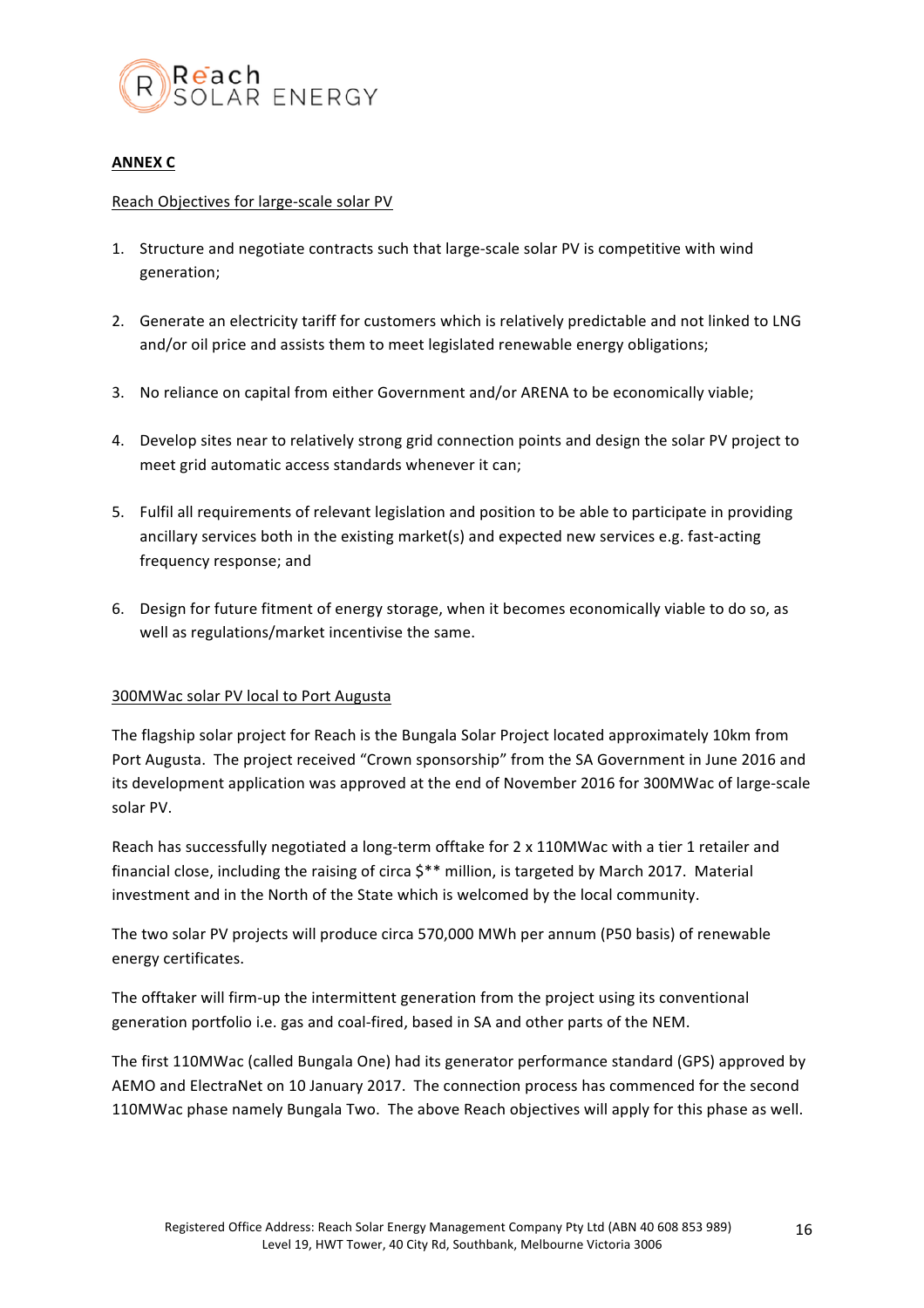

## **ANNEX C**

#### Reach Objectives for large-scale solar PV

- 1. Structure and negotiate contracts such that large-scale solar PV is competitive with wind generation;
- 2. Generate an electricity tariff for customers which is relatively predictable and not linked to LNG and/or oil price and assists them to meet legislated renewable energy obligations;
- 3. No reliance on capital from either Government and/or ARENA to be economically viable;
- 4. Develop sites near to relatively strong grid connection points and design the solar PV project to meet grid automatic access standards whenever it can;
- 5. Fulfil all requirements of relevant legislation and position to be able to participate in providing ancillary services both in the existing market(s) and expected new services e.g. fast-acting frequency response; and
- 6. Design for future fitment of energy storage, when it becomes economically viable to do so, as well as regulations/market incentivise the same.

## 300MWac solar PV local to Port Augusta

The flagship solar project for Reach is the Bungala Solar Project located approximately 10km from Port Augusta. The project received "Crown sponsorship" from the SA Government in June 2016 and its development application was approved at the end of November 2016 for 300MWac of large-scale solar PV.

Reach has successfully negotiated a long-term offtake for 2 x 110MWac with a tier 1 retailer and financial close, including the raising of circa  $$**$  million, is targeted by March 2017. Material investment and in the North of the State which is welcomed by the local community.

The two solar PV projects will produce circa 570,000 MWh per annum (P50 basis) of renewable energy certificates.

The offtaker will firm-up the intermittent generation from the project using its conventional generation portfolio i.e. gas and coal-fired, based in SA and other parts of the NEM.

The first 110MWac (called Bungala One) had its generator performance standard (GPS) approved by AEMO and ElectraNet on 10 January 2017. The connection process has commenced for the second 110MWac phase namely Bungala Two. The above Reach objectives will apply for this phase as well.